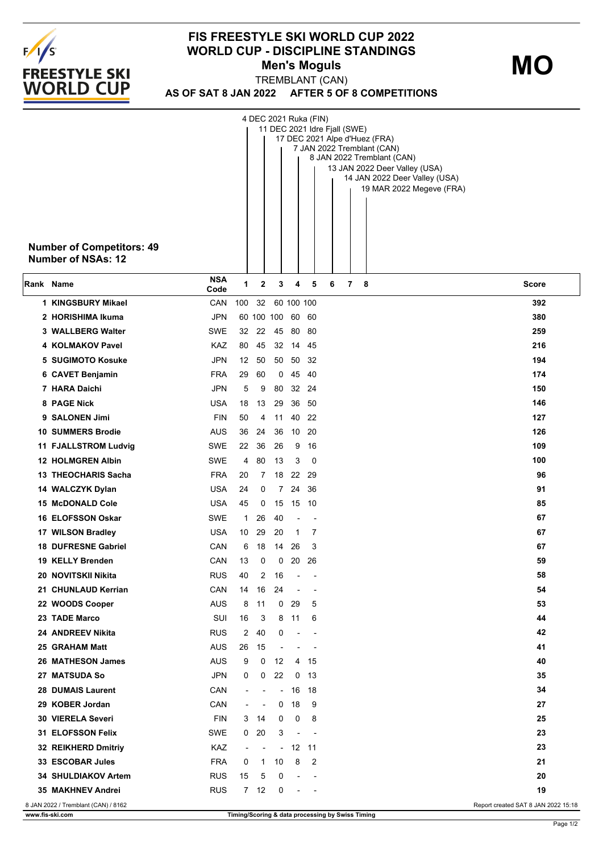

## **FIS FREESTYLE SKI WORLD CUP 2022 WORLD CUP - DISCIPLINE STANDINGS Men's Moguls MO**

**AS OF SAT 8 JAN 2022 AFTER 5 OF 8 COMPETITIONS** TREMBLANT (CAN)

| <b>Number of Competitors: 49</b><br><b>Number of NSAs: 12</b> |                    |                          |                | 4 DEC 2021 Ruka (FIN)    |                          |                          | 11 DEC 2021 Idre Fjall (SWE)<br>17 DEC 2021 Alpe d'Huez (FRA)<br>7 JAN 2022 Tremblant (CAN)<br>8 JAN 2022 Tremblant (CAN)<br>13 JAN 2022 Deer Valley (USA)<br>14 JAN 2022 Deer Valley (USA)<br>19 MAR 2022 Megeve (FRA) |                                     |
|---------------------------------------------------------------|--------------------|--------------------------|----------------|--------------------------|--------------------------|--------------------------|-------------------------------------------------------------------------------------------------------------------------------------------------------------------------------------------------------------------------|-------------------------------------|
| Rank Name                                                     | <b>NSA</b><br>Code | 1                        | 2              | 3                        | 4                        | 5                        | 7 <sub>8</sub><br>6                                                                                                                                                                                                     | Score                               |
| 1 KINGSBURY Mikael                                            | CAN                | 100                      | 32             |                          | 60 100 100               |                          |                                                                                                                                                                                                                         | 392                                 |
| 2 HORISHIMA Ikuma                                             | <b>JPN</b>         |                          |                | 60 100 100               | 60 60                    |                          |                                                                                                                                                                                                                         | 380                                 |
| 3 WALLBERG Walter                                             | SWE                | 32                       | - 22           |                          | 45 80                    | - 80                     |                                                                                                                                                                                                                         | 259                                 |
| <b>4 KOLMAKOV Pavel</b>                                       | KAZ                | 80                       | 45             |                          | 32 14                    | -45                      |                                                                                                                                                                                                                         | 216                                 |
| <b>5 SUGIMOTO Kosuke</b>                                      | <b>JPN</b>         | 12                       | 50             |                          | 50 50                    | 32                       |                                                                                                                                                                                                                         | 194                                 |
| 6 CAVET Benjamin                                              | <b>FRA</b>         | 29                       | 60             | $\mathbf{0}$             | 45 40                    |                          |                                                                                                                                                                                                                         | 174                                 |
| 7 HARA Daichi                                                 | <b>JPN</b>         | 5                        | 9              | 80                       |                          | 32 24                    |                                                                                                                                                                                                                         | 150                                 |
| 8 PAGE Nick                                                   | USA                | 18                       | 13             | 29                       |                          | 36 50                    |                                                                                                                                                                                                                         | 146                                 |
| 9 SALONEN Jimi                                                | FIN                | 50                       | 4              | 11                       |                          | 40 22                    |                                                                                                                                                                                                                         | 127                                 |
| <b>10 SUMMERS Brodie</b>                                      | AUS                | 36                       | 24             | 36                       |                          | 10 20                    |                                                                                                                                                                                                                         | 126                                 |
| 11 FJALLSTROM Ludvig                                          | <b>SWE</b>         | 22                       | 36             | 26                       | 9                        | 16                       |                                                                                                                                                                                                                         | 109                                 |
| <b>12 HOLMGREN Albin</b>                                      | SWE                | 4                        | 80             | 13                       | 3                        | 0                        |                                                                                                                                                                                                                         | 100                                 |
| <b>13 THEOCHARIS Sacha</b>                                    | <b>FRA</b>         | 20                       | 7              | 18                       | 22 29                    |                          |                                                                                                                                                                                                                         | 96                                  |
| 14 WALCZYK Dylan                                              | <b>USA</b>         | 24                       | 0              | $7^{\circ}$              |                          | 24 36                    |                                                                                                                                                                                                                         | 91                                  |
| 15 McDONALD Cole                                              | <b>USA</b>         | 45                       | 0              | 15                       | 15                       | - 10                     |                                                                                                                                                                                                                         | 85                                  |
| <b>16 ELOFSSON Oskar</b>                                      | SWE                | 1                        | 26             | 40                       | $\overline{\phantom{a}}$ | $\overline{\phantom{a}}$ |                                                                                                                                                                                                                         | 67                                  |
| 17 WILSON Bradley                                             | <b>USA</b>         | 10                       | 29             | 20                       | 1                        | 7                        |                                                                                                                                                                                                                         | 67                                  |
| <b>18 DUFRESNE Gabriel</b>                                    | CAN                | 6                        | 18             | 14                       | 26                       | 3                        |                                                                                                                                                                                                                         | 67                                  |
| 19 KELLY Brenden                                              | CAN                | 13                       | 0              | 0                        | 20                       | 26                       |                                                                                                                                                                                                                         | 59                                  |
| 20 NOVITSKII Nikita                                           | <b>RUS</b>         | 40                       | 2              | - 16                     | $\overline{\phantom{a}}$ | $\overline{\phantom{a}}$ |                                                                                                                                                                                                                         | 58                                  |
| 21 CHUNLAUD Kerrian                                           | CAN                | 14                       | 16             | 24                       |                          |                          |                                                                                                                                                                                                                         | 54                                  |
| 22 WOODS Cooper                                               | <b>AUS</b>         | 8                        | 11             | 0                        | 29                       | 5                        |                                                                                                                                                                                                                         | 53                                  |
| 23 TADE Marco                                                 | SUI                | 16                       | 3              | 8                        | 11                       | 6                        |                                                                                                                                                                                                                         | 44                                  |
| 24 ANDREEV Nikita                                             | <b>RUS</b>         | 2                        | 40             | 0                        | $\overline{a}$           | $\overline{\phantom{a}}$ |                                                                                                                                                                                                                         | 42                                  |
| 25 GRAHAM Matt                                                | AUS                | 26                       | 15             |                          |                          |                          |                                                                                                                                                                                                                         | 41                                  |
| 26 MATHESON James                                             | AUS                | 9                        | 0              | 12                       | 4                        | 15                       |                                                                                                                                                                                                                         | 40                                  |
| <b>27 MATSUDA So</b>                                          | <b>JPN</b>         | 0                        | 0              | 22                       | 0                        | -13                      |                                                                                                                                                                                                                         | 35                                  |
| <b>28 DUMAIS Laurent</b>                                      | CAN                | $\overline{\phantom{a}}$ |                | $\overline{\phantom{a}}$ | 16                       | -18                      |                                                                                                                                                                                                                         | 34                                  |
| 29 KOBER Jordan                                               | CAN                | $\overline{\phantom{a}}$ | $\overline{a}$ | 0                        | 18                       | 9                        |                                                                                                                                                                                                                         | 27                                  |
| <b>30 VIERELA Severi</b>                                      | <b>FIN</b>         |                          | 314            | 0                        | 0                        | 8                        |                                                                                                                                                                                                                         | 25                                  |
| 31 ELOFSSON Felix                                             | SWE                |                          | 0 20           | 3                        | $\overline{\phantom{a}}$ | $\overline{\phantom{a}}$ |                                                                                                                                                                                                                         | 23                                  |
| 32 REIKHERD Dmitriy                                           | KAZ                | $\overline{\phantom{a}}$ | $\overline{a}$ | $\overline{\phantom{a}}$ |                          | 12 11                    |                                                                                                                                                                                                                         | 23                                  |
| 33 ESCOBAR Jules                                              | <b>FRA</b>         | 0                        | 1              | 10                       | 8                        | 2                        |                                                                                                                                                                                                                         | 21                                  |
| <b>34 SHULDIAKOV Artem</b>                                    | <b>RUS</b>         | 15                       | 5              | 0                        |                          |                          |                                                                                                                                                                                                                         | 20                                  |
| 35 MAKHNEV Andrei                                             | <b>RUS</b>         | $7^{\circ}$              | 12             | 0                        |                          |                          |                                                                                                                                                                                                                         | 19                                  |
| 8 JAN 2022 / Tremblant (CAN) / 8162                           |                    |                          |                |                          |                          |                          |                                                                                                                                                                                                                         | Report created SAT 8 JAN 2022 15:18 |
| www.fis-ski.com                                               |                    |                          |                |                          |                          |                          | Timing/Scoring & data processing by Swiss Timing                                                                                                                                                                        |                                     |